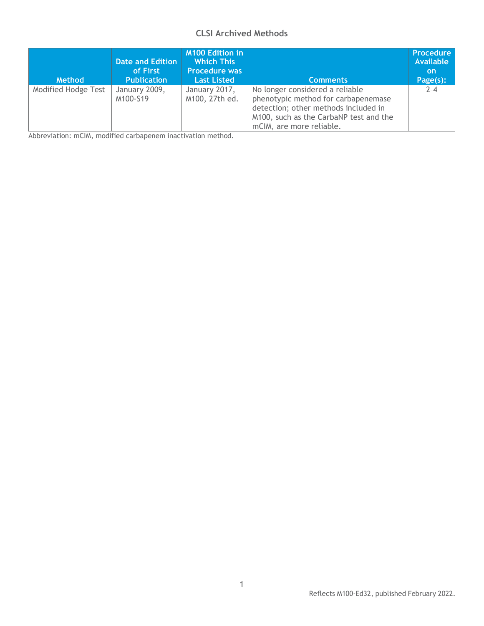## **CLSI Archived Methods**

| <b>Method</b>              | Date and Edition<br>of First<br><b>Publication</b> | <b>M100 Edition in</b><br><b>Which This</b><br><b>Procedure was</b><br><b>Last Listed</b> | <b>Comments</b>                                                                                                                                                                      | <b>Procedure</b><br><b>Available</b><br><b>on</b><br>Page(s): |
|----------------------------|----------------------------------------------------|-------------------------------------------------------------------------------------------|--------------------------------------------------------------------------------------------------------------------------------------------------------------------------------------|---------------------------------------------------------------|
| <b>Modified Hodge Test</b> | January 2009,<br>M100-S19                          | January 2017,<br>M100, 27th ed.                                                           | No longer considered a reliable<br>phenotypic method for carbapenemase<br>detection; other methods included in<br>M100, such as the CarbaNP test and the<br>mCIM, are more reliable. | $2 - 4$                                                       |

Abbreviation: mCIM, modified carbapenem inactivation method.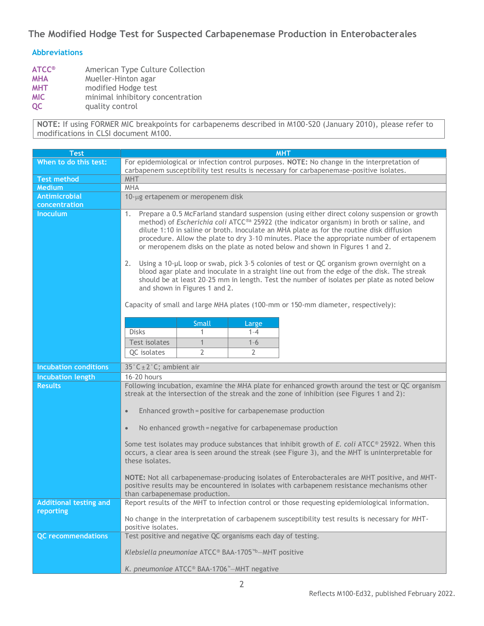# **The Modified Hodge Test for Suspected Carbapenemase Production in Enterobacterales**

### **Abbreviations**

| <b>ATCC®</b> | American Type Culture Collection |  |  |  |  |
|--------------|----------------------------------|--|--|--|--|
| <b>MHA</b>   | Mueller-Hinton agar              |  |  |  |  |
| <b>MHT</b>   | modified Hodge test              |  |  |  |  |
| <b>MIC</b>   | minimal inhibitory concentration |  |  |  |  |
| <b>OC</b>    | quality control                  |  |  |  |  |

**NOTE:** If using FORMER MIC breakpoints for carbapenems described in M100-S20 (January 2010), please refer to modifications in CLSI document M100.

| <b>Test</b>                  | <b>MHT</b>                                                                                                                                                                                                                                                                                                                                                                                                                                                                                                                                                                                                                                                                                                                                                                                                 |                |                  |                                                                                                 |  |  |
|------------------------------|------------------------------------------------------------------------------------------------------------------------------------------------------------------------------------------------------------------------------------------------------------------------------------------------------------------------------------------------------------------------------------------------------------------------------------------------------------------------------------------------------------------------------------------------------------------------------------------------------------------------------------------------------------------------------------------------------------------------------------------------------------------------------------------------------------|----------------|------------------|-------------------------------------------------------------------------------------------------|--|--|
| When to do this test:        | For epidemiological or infection control purposes. NOTE: No change in the interpretation of                                                                                                                                                                                                                                                                                                                                                                                                                                                                                                                                                                                                                                                                                                                |                |                  |                                                                                                 |  |  |
|                              | carbapenem susceptibility test results is necessary for carbapenemase-positive isolates.                                                                                                                                                                                                                                                                                                                                                                                                                                                                                                                                                                                                                                                                                                                   |                |                  |                                                                                                 |  |  |
| <b>Test method</b>           | <b>MHT</b>                                                                                                                                                                                                                                                                                                                                                                                                                                                                                                                                                                                                                                                                                                                                                                                                 |                |                  |                                                                                                 |  |  |
| <b>Medium</b>                | <b>MHA</b>                                                                                                                                                                                                                                                                                                                                                                                                                                                                                                                                                                                                                                                                                                                                                                                                 |                |                  |                                                                                                 |  |  |
| Antimicrobial                | 10-µg ertapenem or meropenem disk                                                                                                                                                                                                                                                                                                                                                                                                                                                                                                                                                                                                                                                                                                                                                                          |                |                  |                                                                                                 |  |  |
| concentration                |                                                                                                                                                                                                                                                                                                                                                                                                                                                                                                                                                                                                                                                                                                                                                                                                            |                |                  |                                                                                                 |  |  |
| <b>Inoculum</b>              | Prepare a 0.5 McFarland standard suspension (using either direct colony suspension or growth<br>1.<br>method) of Escherichia coli ATCC®a 25922 (the indicator organism) in broth or saline, and<br>dilute 1:10 in saline or broth. Inoculate an MHA plate as for the routine disk diffusion<br>procedure. Allow the plate to dry 3-10 minutes. Place the appropriate number of ertapenem<br>or meropenem disks on the plate as noted below and shown in Figures 1 and 2.<br>Using a 10-µL loop or swab, pick 3-5 colonies of test or QC organism grown overnight on a<br>2.<br>blood agar plate and inoculate in a straight line out from the edge of the disk. The streak<br>should be at least 20-25 mm in length. Test the number of isolates per plate as noted below<br>and shown in Figures 1 and 2. |                |                  |                                                                                                 |  |  |
|                              | Capacity of small and large MHA plates (100-mm or 150-mm diameter, respectively):                                                                                                                                                                                                                                                                                                                                                                                                                                                                                                                                                                                                                                                                                                                          |                |                  |                                                                                                 |  |  |
|                              |                                                                                                                                                                                                                                                                                                                                                                                                                                                                                                                                                                                                                                                                                                                                                                                                            |                |                  |                                                                                                 |  |  |
|                              | <b>Disks</b>                                                                                                                                                                                                                                                                                                                                                                                                                                                                                                                                                                                                                                                                                                                                                                                               | Small<br>1     | Large<br>$1 - 4$ |                                                                                                 |  |  |
|                              | Test isolates                                                                                                                                                                                                                                                                                                                                                                                                                                                                                                                                                                                                                                                                                                                                                                                              | $\mathbf{1}$   | $1 - 6$          |                                                                                                 |  |  |
|                              | QC isolates                                                                                                                                                                                                                                                                                                                                                                                                                                                                                                                                                                                                                                                                                                                                                                                                | $\overline{2}$ | $\overline{2}$   |                                                                                                 |  |  |
|                              |                                                                                                                                                                                                                                                                                                                                                                                                                                                                                                                                                                                                                                                                                                                                                                                                            |                |                  |                                                                                                 |  |  |
| <b>Incubation conditions</b> | 35°C ± 2°C; ambient air                                                                                                                                                                                                                                                                                                                                                                                                                                                                                                                                                                                                                                                                                                                                                                                    |                |                  |                                                                                                 |  |  |
| <b>Incubation length</b>     | 16-20 hours                                                                                                                                                                                                                                                                                                                                                                                                                                                                                                                                                                                                                                                                                                                                                                                                |                |                  |                                                                                                 |  |  |
| <b>Results</b>               | Following incubation, examine the MHA plate for enhanced growth around the test or QC organism<br>streak at the intersection of the streak and the zone of inhibition (see Figures 1 and 2):                                                                                                                                                                                                                                                                                                                                                                                                                                                                                                                                                                                                               |                |                  |                                                                                                 |  |  |
|                              | Enhanced growth = positive for carbapenemase production<br>$\bullet$                                                                                                                                                                                                                                                                                                                                                                                                                                                                                                                                                                                                                                                                                                                                       |                |                  |                                                                                                 |  |  |
|                              | No enhanced growth = negative for carbapenemase production<br>$\bullet$                                                                                                                                                                                                                                                                                                                                                                                                                                                                                                                                                                                                                                                                                                                                    |                |                  |                                                                                                 |  |  |
|                              | Some test isolates may produce substances that inhibit growth of E. coli ATCC® 25922. When this<br>occurs, a clear area is seen around the streak (see Figure 3), and the MHT is uninterpretable for<br>these isolates.                                                                                                                                                                                                                                                                                                                                                                                                                                                                                                                                                                                    |                |                  |                                                                                                 |  |  |
|                              | NOTE: Not all carbapenemase-producing isolates of Enterobacterales are MHT positive, and MHT-<br>positive results may be encountered in isolates with carbapenem resistance mechanisms other<br>than carbapenemase production.                                                                                                                                                                                                                                                                                                                                                                                                                                                                                                                                                                             |                |                  |                                                                                                 |  |  |
| Additional testing and       |                                                                                                                                                                                                                                                                                                                                                                                                                                                                                                                                                                                                                                                                                                                                                                                                            |                |                  | Report results of the MHT to infection control or those requesting epidemiological information. |  |  |
| reporting                    | No change in the interpretation of carbapenem susceptibility test results is necessary for MHT-<br>positive isolates.                                                                                                                                                                                                                                                                                                                                                                                                                                                                                                                                                                                                                                                                                      |                |                  |                                                                                                 |  |  |
| <b>QC</b> recommendations    | Test positive and negative QC organisms each day of testing.                                                                                                                                                                                                                                                                                                                                                                                                                                                                                                                                                                                                                                                                                                                                               |                |                  |                                                                                                 |  |  |
|                              | Klebsiella pneumoniae ATCC® BAA-1705 <sup>™</sup> -MHT positive                                                                                                                                                                                                                                                                                                                                                                                                                                                                                                                                                                                                                                                                                                                                            |                |                  |                                                                                                 |  |  |
|                              | K. pneumoniae ATCC <sup>®</sup> BAA-1706 <sup>™</sup> -MHT negative                                                                                                                                                                                                                                                                                                                                                                                                                                                                                                                                                                                                                                                                                                                                        |                |                  |                                                                                                 |  |  |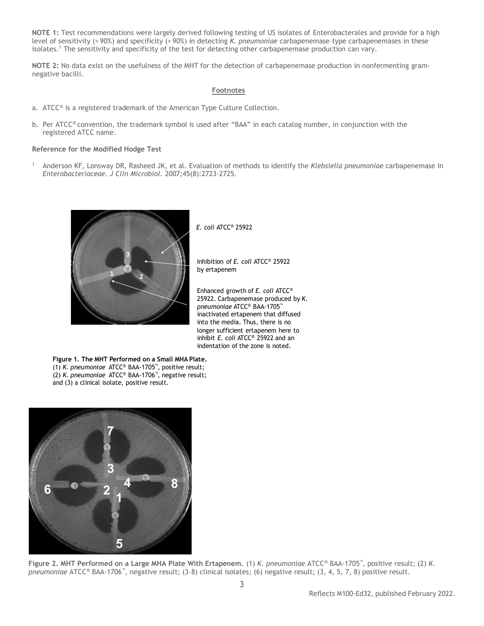**NOTE 1:** Test recommendations were largely derived following testing of US isolates of Enterobacterales and provide for a high level of sensitivity (> 90%) and specificity (> 90%) in detecting *K. pneumoniae* carbapenemase–type carbapenemases in these isolates.<sup>1</sup> The sensitivity and specificity of the test for detecting other carbapenemase production can vary.

**NOTE 2:** No data exist on the usefulness of the MHT for the detection of carbapenemase production in nonfermenting gramnegative bacilli.

### **Footnotes**

- a. ATCC® is a registered trademark of the American Type Culture Collection.
- b. Per ATCC® convention, the trademark symbol is used after "BAA" in each catalog number, in conjunction with the registered ATCC name.

#### **Reference for the Modified Hodge Test**

<sup>1</sup>Anderson KF, Lonsway DR, Rasheed JK, et al. Evaluation of methods to identify the *Klebsiella pneumoniae* carbapenemase in *Enterobacteriaceae. J Clin Microbiol.* 2007;45(8):2723-2725.



*E. coli* ATCC® 25922

Inhibition of *E. coli* ATCC® 25922 by ertapenem

Enhanced growth of *E. coli* ATCC® 25922. Carbapenemase produced by *K. pneumoniae* ATCC® BAA-1705™ inactivated ertapenem that diffused into the media. Thus, there is no longer sufficient ertapenem here to inhibit *E. coli* ATCC® 25922 and an indentation of the zone is noted.

**Figure 1. The MHT Performed on a Small MHA Plate.**  (1) *K. pneumoniae* ATCC® BAA-1705™, positive result; (2) *K. pneumoniae* ATCC® BAA-1706™, negative result; and (3) a clinical isolate, positive result.



**Figure 2. MHT Performed on a Large MHA Plate With Ertapenem.** (1) *K. pneumoniae* ATCC® BAA-1705™ , positive result; (2) *K. pneumoniae* ATCC® BAA-1706™ , negative result; (3–8) clinical isolates; (6) negative result; (3, 4, 5, 7, 8) positive result.